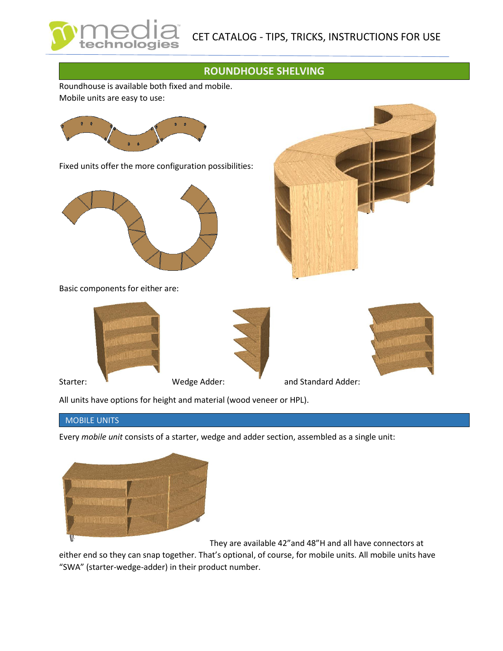## **ROUNDHOUSE SHELVING**

Roundhouse is available both fixed and mobile. Mobile units are easy to use:



Fixed units offer the more configuration possibilities:



Basic components for either are:





All units have options for height and material (wood veneer or HPL).

## MOBILE UNITS

Every *mobile unit* consists of a starter, wedge and adder section, assembled as a single unit:



They are available 42"and 48"H and all have connectors at

either end so they can snap together. That's optional, of course, for mobile units. All mobile units have "SWA" (starter-wedge-adder) in their product number.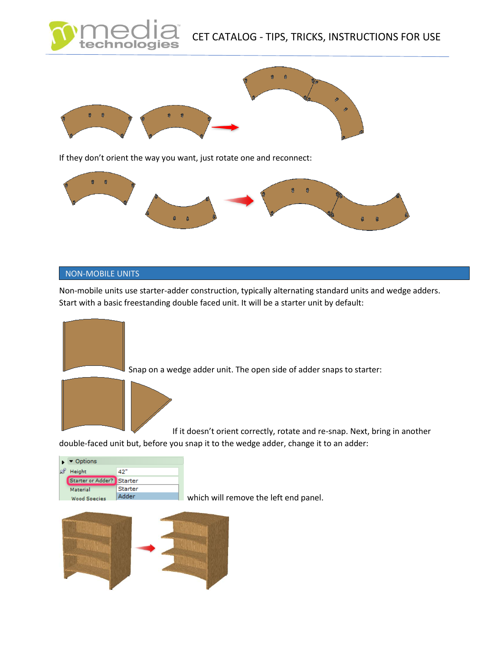



## NON-MOBILE UNITS

Non-mobile units use starter-adder construction, typically alternating standard units and wedge adders. Start with a basic freestanding double faced unit. It will be a starter unit by default:





which will remove the left end panel.

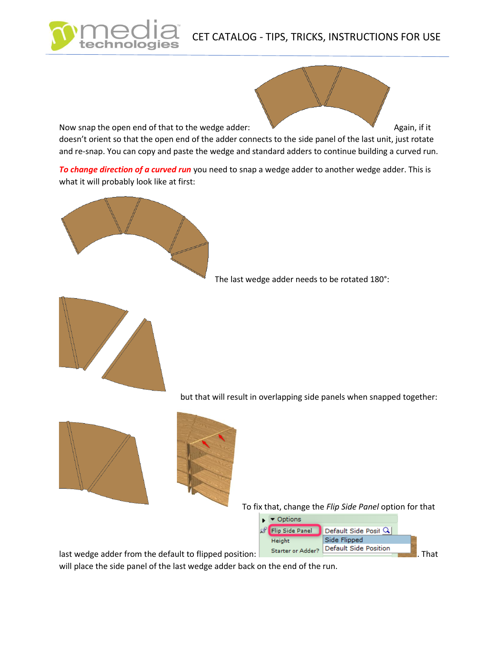## CET CATALOG - TIPS, TRICKS, INSTRUCTIONS FOR USE



*To change direction of a curved run* you need to snap a wedge adder to another wedge adder. This is what it will probably look like at first:



The last wedge adder needs to be rotated 180°:



but that will result in overlapping side panels when snapped together:





To fix that, change the *Flip Side Panel* option for that



will place the side panel of the last wedge adder back on the end of the run.